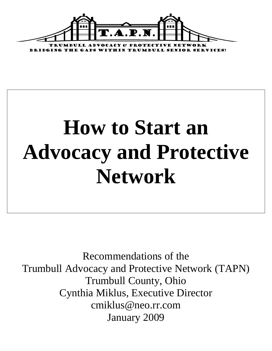

# **How to Start an Advocacy and Protective Network**

Recommendations of the Trumbull Advocacy and Protective Network (TAPN) Trumbull County, Ohio Cynthia Miklus, Executive Director cmiklus@neo.rr.com January 2009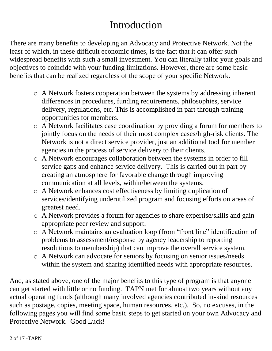## Introduction

There are many benefits to developing an Advocacy and Protective Network. Not the least of which, in these difficult economic times, is the fact that it can offer such widespread benefits with such a small investment. You can literally tailor your goals and objectives to coincide with your funding limitations. However, there are some basic benefits that can be realized regardless of the scope of your specific Network.

- o A Network fosters cooperation between the systems by addressing inherent differences in procedures, funding requirements, philosophies, service delivery, regulations, etc. This is accomplished in part through training opportunities for members.
- o A Network facilitates case coordination by providing a forum for members to jointly focus on the needs of their most complex cases/high-risk clients. The Network is not a direct service provider, just an additional tool for member agencies in the process of service delivery to their clients.
- o A Network encourages collaboration between the systems in order to fill service gaps and enhance service delivery. This is carried out in part by creating an atmosphere for favorable change through improving communication at all levels, within/between the systems.
- o A Network enhances cost effectiveness by limiting duplication of services/identifying underutilized program and focusing efforts on areas of greatest need.
- o A Network provides a forum for agencies to share expertise/skills and gain appropriate peer review and support.
- o A Network maintains an evaluation loop (from "front line" identification of problems to assessment/response by agency leadership to reporting resolutions to membership) that can improve the overall service system.
- o A Network can advocate for seniors by focusing on senior issues/needs within the system and sharing identified needs with appropriate resources.

And, as stated above, one of the major benefits to this type of program is that anyone can get started with little or no funding. TAPN met for almost two years without any actual operating funds (although many involved agencies contributed in-kind resources such as postage, copies, meeting space, human resources, etc.). So, no excuses, in the following pages you will find some basic steps to get started on your own Advocacy and Protective Network. Good Luck!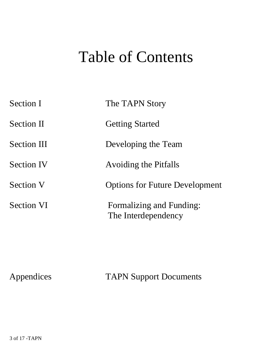# Table of Contents

| <b>Section I</b>   | The TAPN Story                                  |
|--------------------|-------------------------------------------------|
| <b>Section II</b>  | <b>Getting Started</b>                          |
| <b>Section III</b> | Developing the Team                             |
| <b>Section IV</b>  | <b>Avoiding the Pitfalls</b>                    |
| <b>Section V</b>   | <b>Options for Future Development</b>           |
| <b>Section VI</b>  | Formalizing and Funding:<br>The Interdependency |

Appendices TAPN Support Documents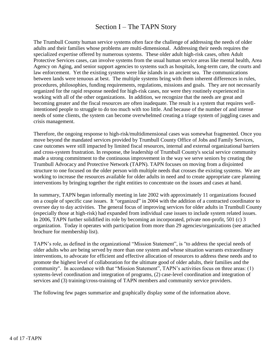#### Section I – The TAPN Story

The Trumbull County human service systems often face the challenge of addressing the needs of older adults and their families whose problems are multi-dimensional. Addressing their needs requires the specialized expertise offered by numerous systems. These older adult high-risk cases, often Adult Protective Services cases, can involve systems from the usual human service areas like mental health, Area Agency on Aging, and senior support agencies to systems such as hospitals, long-term care, the courts and law enforcement. Yet the existing systems were like islands in an ancient sea. The communications between lands were tenuous at best. The multiple systems bring with them inherent differences in rules, procedures, philosophies, funding requirements, regulations, missions and goals. They are not necessarily organized for the rapid response needed for high-risk cases, nor were they routinely experienced in working with all of the other organizations. In addition, we recognize that the needs are great and becoming greater and the fiscal resources are often inadequate. The result is a system that requires wellintentioned people to struggle to do too much with too little. And because of the number of and intense needs of some clients, the system can become overwhelmed creating a triage system of juggling cases and crisis management.

Therefore, the ongoing response to high-risk/multidimensional cases was somewhat fragmented. Once you move beyond the mandated services provided by Trumbull County Office of Jobs and Family Services, case outcomes were still impacted by limited fiscal resources, internal and external organizational barriers and cross-system frustration. In response, the leadership of Trumbull County's social service community made a strong commitment to the continuous improvement in the way we serve seniors by creating the Trumbull Advocacy and Protective Network (TAPN). TAPN focuses on moving from a disjointed structure to one focused on the older person with multiple needs that crosses the existing systems. We are working to increase the resources available for older adults in need and to create appropriate care planning interventions by bringing together the right entities to concentrate on the issues and cases at hand.

In summary, TAPN began informally meeting in late 2002 with approximately 11 organizations focused on a couple of specific case issues. It "organized" in 2004 with the addition of a contracted coordinator to oversee day to day activities. The general focus of improving services for older adults in Trumbull County (especially those at high-risk) had expanded from individual case issues to include system related issues. In 2006, TAPN further solidified its role by becoming an incorporated, private non-profit, 501 (c) 3 organization. Today it operates with participation from more than 29 agencies/organizations (see attached brochure for membership list).

TAPN's role, as defined in the organizational "Mission Statement", is "to address the special needs of older adults who are being served by more than one system and whose situation warrants extraordinary interventions, to advocate for efficient and effective allocation of resources to address these needs and to promote the highest level of collaboration for the ultimate good of older adults, their families and the community". In accordance with that "Mission Statement", TAPN's activities focus on three areas: (1) systems-level coordination and integration of programs, (2) case-level coordination and integration of services and (3) training/cross-training of TAPN members and community service providers.

The following few pages summarize and graphically display some of the information above.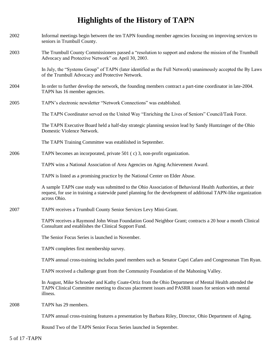### **Highlights of the History of TAPN**

| 2002 | Informal meetings begin between the ten TAPN founding member agencies focusing on improving services to<br>seniors in Trumbull County.                                                                                                        |
|------|-----------------------------------------------------------------------------------------------------------------------------------------------------------------------------------------------------------------------------------------------|
| 2003 | The Trumbull County Commissioners passed a "resolution to support and endorse the mission of the Trumbull<br>Advocacy and Protective Network" on April 30, 2003.                                                                              |
|      | In July, the "Systems Group" of TAPN (later identified as the Full Network) unanimously accepted the By Laws<br>of the Trumbull Advocacy and Protective Network.                                                                              |
| 2004 | In order to further develop the network, the founding members contract a part-time coordinator in late-2004.<br>TAPN has 16 member agencies.                                                                                                  |
| 2005 | TAPN's electronic newsletter "Network Connections" was established.                                                                                                                                                                           |
|      | The TAPN Coordinator served on the United Way "Enriching the Lives of Seniors" Council/Task Force.                                                                                                                                            |
|      | The TAPN Executive Board held a half-day strategic planning session lead by Sandy Huntzinger of the Ohio<br>Domestic Violence Network.                                                                                                        |
|      | The TAPN Training Committee was established in September.                                                                                                                                                                                     |
| 2006 | TAPN becomes an incorporated, private 501 (c) 3, non-profit organization.                                                                                                                                                                     |
|      | TAPN wins a National Association of Area Agencies on Aging Achievement Award.                                                                                                                                                                 |
|      | TAPN is listed as a promising practice by the National Center on Elder Abuse.                                                                                                                                                                 |
|      | A sample TAPN case study was submitted to the Ohio Association of Behavioral Health Authorities, at their<br>request, for use in training a statewide panel planning for the development of additional TAPN-like organization<br>across Ohio. |
| 2007 | TAPN receives a Trumbull County Senior Services Levy Mini-Grant.                                                                                                                                                                              |
|      | TAPN receives a Raymond John Wean Foundation Good Neighbor Grant; contracts a 20 hour a month Clinical<br>Consultant and establishes the Clinical Support Fund.                                                                               |
|      | The Senior Focus Series is launched in November.                                                                                                                                                                                              |
|      | TAPN completes first membership survey.                                                                                                                                                                                                       |
|      | TAPN annual cross-training includes panel members such as Senator Capri Cafaro and Congressman Tim Ryan.                                                                                                                                      |
|      | TAPN received a challenge grant from the Community Foundation of the Mahoning Valley.                                                                                                                                                         |
|      | In August, Mike Schroeder and Kathy Coate-Ortiz from the Ohio Department of Mental Health attended the<br>TAPN Clinical Committee meeting to discuss placement issues and PASRR issues for seniors with mental<br>illness.                    |
| 2008 | TAPN has 29 members.                                                                                                                                                                                                                          |
|      | TAPN annual cross-training features a presentation by Barbara Riley, Director, Ohio Department of Aging.                                                                                                                                      |

Round Two of the TAPN Senior Focus Series launched in September.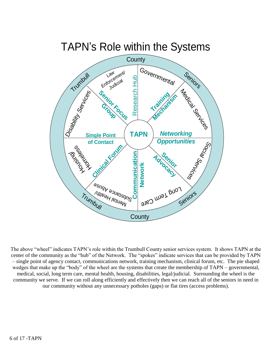

The above "wheel" indicates TAPN's role within the Trumbull County senior services system. It shows TAPN at the center of the community as the "hub" of the Network. The "spokes" indicate services that can be provided by TAPN – single point of agency contact, communications network, training mechanism, clinical forum, etc. The pie shaped wedges that make up the "body" of the wheel are the systems that create the membership of TAPN – governmental, medical, social, long term care, mental health, housing, disabilities, legal/judicial. Surrounding the wheel is the community we serve. If we can roll along efficiently and effectively then we can reach all of the seniors in need in our community without any unnecessary potholes (gaps) or flat tires (access problems).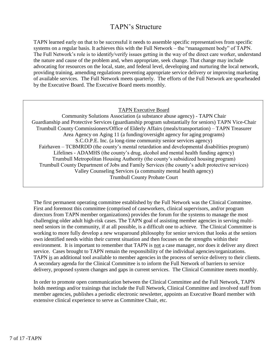#### TAPN's Structure

TAPN learned early on that to be successful it needs to assemble specific representatives from specific systems on a regular basis. It achieves this with the Full Network – the "management body" of TAPN. The Full Network's role is to identify/verify issues getting in the way of the direct care worker, understand the nature and cause of the problem and, when appropriate, seek change. That change may include advocating for resources on the local, state, and federal level, developing and nurturing the local network, providing training, amending regulations preventing appropriate service delivery or improving marketing of available services. The Full Network meets quarterly. The efforts of the Full Network are spearheaded by the Executive Board. The Executive Board meets monthly.

TAPN Executive Board

Community Solutions Association (a substance abuse agency) - TAPN Chair Guardianship and Protective Services (guardianship program substantially for seniors) TAPN Vice-Chair Trumbull County Commissioners/Office of Elderly Affairs (meals/transportation) – TAPN Treasurer Area Agency on Aging 11 (a funding/oversight agency for aging programs) S.C.O.P.E. Inc. (a long-time community senior services agency) Fairhaven – TCBMRDD (the county's mental retardation and developmental disabilities program) Lifelines - ADAMHS (the county's drug, alcohol and mental health funding agency) Trumbull Metropolitan Housing Authority (the county's subsidized housing program) Trumbull County Department of Jobs and Family Services (the county's adult protective services) Valley Counseling Services (a community mental health agency) Trumbull County Probate Court

The first permanent operating committee established by the Full Network was the Clinical Committee. First and foremost this committee (comprised of caseworkers, clinical supervisors, and/or program directors from TAPN member organizations) provides the forum for the systems to manage the most challenging older adult high-risk cases. The TAPN goal of assisting member agencies in serving multineed seniors in the community, if at all possible, is a difficult one to achieve. The Clinical Committee is working to more fully develop a new wraparound philosophy for senior services that looks at the seniors own identified needs within their current situation and then focuses on the strengths within their environment. It is important to remember that TAPN is not a case manager, nor does it deliver any direct service. Cases brought to TAPN remain the responsibility of the individual agencies/organizations. TAPN is an additional tool available to member agencies in the process of service delivery to their clients. A secondary agenda for the Clinical Committee is to inform the Full Network of barriers to service delivery, proposed system changes and gaps in current services. The Clinical Committee meets monthly.

In order to promote open communication between the Clinical Committee and the Full Network, TAPN holds meetings and/or trainings that include the Full Network, Clinical Committee and involved staff from member agencies, publishes a periodic electronic newsletter, appoints an Executive Board member with extensive clinical experience to serve as Committee Chair, etc.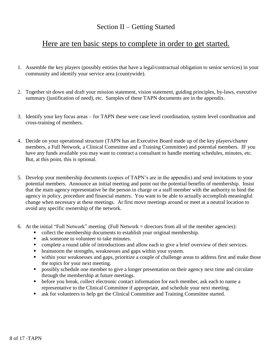#### Section II – Getting Started

#### Here are ten basic steps to complete in order to get started.

- 1. Assemble the key players (possibly entities that have a legal/contractual obligation to senior services) in your community and identify your service area (countywide).
- 2. Together sit down and draft your mission statement, vision statement, guiding principles, by-laws, executive summary (justification of need), etc. Samples of these TAPN documents are in the appendix.
- 3. Identify your key focus areas for TAPN these were case level coordination, system level coordination and cross-training of members.
- 4. Decide on your operational structure (TAPN has an Executive Board made up of the key players/charter members, a Full Network, a Clinical Committee and a Training Committee) and potential members. IF you have any funds available you may want to contract a consultant to handle meeting schedules, minutes, etc. But, at this point, this is optional.
- 5. Develop your membership documents (copies of TAPN's are in the appendix) and send invitations to your potential members. Announce an initial meeting and point out the potential benefits of membership. Insist that the main agency representative be the person in charge or a staff member with the authority to bind the agency in policy, procedure and financial matters. You want to be able to actually accomplish meaningful change when necessary at these meetings. At first move meetings around or meet at a neutral location to avoid any specific ownership of the network.
- 6. At the initial "Full Network" meeting (Full Network = directors from all of the member agencies):
	- collect the membership documents to establish your original membership.
	- ask someone to volunteer to take minutes.
	- **•** complete a round table of introductions and allow each to give a brief overview of their services.
	- brainstorm the strengths, weaknesses and gaps within your system.
	- within your weaknesses and gaps, prioritize a couple of challenge areas to address first and make those the topics for your next meeting.
	- **Phose** possibly schedule one member to give a longer presentation on their agency next time and circulate through the membership at future meetings.
	- **•** before you break, collect electronic contact information for each member, ask each to name a representative to the Clinical Committee if appropriate, and schedule your next meeting.
	- **ask for volunteers to help get the Clinical Committee and Training Committee started.**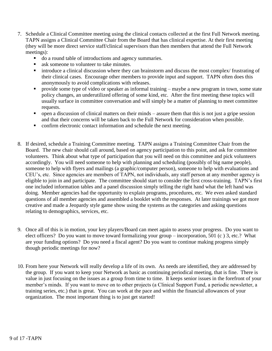- 7. Schedule a Clinical Committee meeting using the clinical contacts collected at the first Full Network meeting. TAPN assigns a Clinical Committee Chair from the Board that has clinical expertise. At their first meeting (they will be more direct service staff/clinical supervisors than then members that attend the Full Network meetings):
	- do a round table of introductions and agency summaries.
	- ask someone to volunteer to take minutes.
	- introduce a clinical discussion where they can brainstorm and discuss the most complex/ frustrating of their clinical cases. Encourage other members to provide input and support. TAPN often does this anonymously to avoid complications with releases.
	- provide some type of video or speaker as informal training maybe a new program in town, some state policy changes, an underutilized offering of some kind, etc. After the first meeting these topics will usually surface in committee conversation and will simply be a matter of planning to meet committee requests.
	- open a discussion of clinical matters on their minds assure them that this is not just a gripe session and that their concerns will be taken back to the Full Network for consideration when possible.
	- confirm electronic contact information and schedule the next meeting.
- 8. If desired, schedule a Training Committee meeting. TAPN assigns a Training Committee Chair from the Board. The new chair should call around, based on agency participation to this point, and ask for committee volunteers. Think about what type of participation that you will need on this committee and pick volunteers accordingly. You will need someone to help with planning and scheduling (possibly of big name people), someone to help with flyers and mailings (a graphic/computer person), someone to help with evaluations and CEU's, etc. Since agencies are members of TAPN, not individuals, any staff person at any member agency is eligible to join in and participate. The committee should start to consider the first cross-training. TAPN's first one included information tables and a panel discussion simply telling the right hand what the left hand was doing. Member agencies had the opportunity to explain programs, procedures, etc. We even asked standard questions of all member agencies and assembled a booklet with the responses. At later trainings we got more creative and made a Jeopardy style game show using the systems as the categories and asking questions relating to demographics, services, etc.
- 9. Once all of this is in motion, your key players/Board can meet again to assess your progress. Do you want to elect officers? Do you want to move toward formalizing your group – incorporation, 501 (c ) 3, etc.? What are your funding options? Do you need a fiscal agent? Do you want to continue making progress simply though periodic meetings for now?
- 10. From here your Network will really develop a life of its own. As needs are identified, they are addressed by the group. If you want to keep your Network as basic as continuing periodical meeting, that is fine. There is value in just focusing on the issues as a group from time to time. It keeps senior issues in the forefront of your member's minds. If you want to move on to other projects (a Clinical Support Fund, a periodic newsletter, a training series, etc.) that is great. You can work at the pace and within the financial allowances of your organization. The most important thing is to just get started!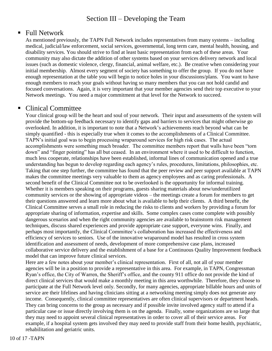#### Section III – Developing the Team

#### ■ Full Network

As mentioned previously, the TAPN Full Network includes representatives from many systems – including medical, judicial/law enforcement, social services, governmental, long term care, mental health, housing, and disability services. You should strive to find at least basic representation from each of these areas. Your community may also dictate the addition of other systems based on your services delivery network and local issues (such as domestic violence, clergy, financial, animal welfare, etc.). Be creative when considering your initial membership. Almost every segment of society has something to offer the group. If you do not have enough representation at the table you will begin to notice holes in your discussions/plans. You want to have enough members to reach your goals without having so many members that you can not hold candid and focused conversations. Again, it is very important that your member agencies send their top executive to your Network meetings. You need a major commitment at that level for the Network to succeed.

#### Clinical Committee

Your clinical group will be the heart and soul of your network. Their input and assessments of the system will provide the bottom-up feedback necessary to identify gaps and barriers to services that might otherwise go overlooked. In addition, it is important to note that a Network's achievements reach beyond what can be simply quantified - this is especially true when it comes to the accomplishments of a Clinical Committee. TAPN's initial goal was to begin processing wraparound services for high risk cases. The actual accomplishments were something much broader. The committee members report that walls have been "torn down" and "finger pointing" has all but ceased. In an environment where it used to be difficult to function, much less cooperate, relationships have been established, informal lines of communication opened and a true understanding has begun to develop regarding each agency's rules, procedures, limitations, philosophies, etc. Taking that one step further, the committee has found that the peer review and peer support available at TAPN makes the committee meetings very valuable to them as agency employees and as caring professionals. A second benefit of the Clinical Committee not to be overlooked is the opportunity for informal training. Whether it is members speaking on their programs, guests sharing materials about new/underutilized community services or the showing of appropriate videos – the meetings create a forum for members to get their questions answered and learn more about what is available to help their clients. A third benefit, the Clinical Committee serves a small role in reducing the risks to clients and workers by providing a forum for appropriate sharing of information, expertise and skills. Some complex cases come complete with possibly dangerous scenarios and when the right community agencies are available to brainstorm risk management techniques, discuss shared experiences and provide appropriate case support, everyone wins. Finally, and perhaps most importantly, the Clinical Committee's collaboration has increased the effectiveness and efficiency of services to seniors. Use of the innovative wraparound model has resulted in cross system identification and assessment of needs, development of more comprehensive case plans, increased collaborative service delivery and the establishment of a base for a Continuous Quality Improvement feedback model that can improve future clinical services.

Here are a few notes about your member's clinical representation. First of all, not all of your member agencies will be in a position to provide a representative in this area. For example, in TAPN, Congressman Ryan's office, the City of Warren, the Sheriff's office, and the county 911 office do not provide the kind of direct clinical services that would make a monthly meeting in this area worthwhile. Therefore, they choose to participate at the Full Network level only. Secondly, for many agencies, appropriate billable hours and units of service are their lifelines and having clinicians sitting at a networking meeting simply does not generate any income. Consequently, clinical committee representatives are often clinical supervisors or department heads. They can bring concerns to the group as necessary and if possible invite involved agency staff to attend if a particular case or issue directly involving them is on the agenda. Finally, some organizations are so large that they may need to appoint several clinical representatives in order to cover all of their service areas. For example, if a hospital system gets involved they may need to provide staff from their home health, psychiatric, rehabilitation and geriatric units.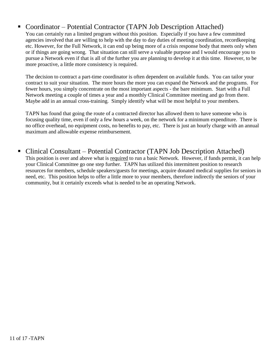#### Coordinator – Potential Contractor (TAPN Job Description Attached)

You can certainly run a limited program without this position. Especially if you have a few committed agencies involved that are willing to help with the day to day duties of meeting coordination, recordkeeping etc. However, for the Full Network, it can end up being more of a crisis response body that meets only when or if things are going wrong. That situation can still serve a valuable purpose and I would encourage you to pursue a Network even if that is all of the further you are planning to develop it at this time. However, to be more proactive, a little more consistency is required.

The decision to contract a part-time coordinator is often dependent on available funds. You can tailor your contract to suit your situation. The more hours the more you can expand the Network and the programs. For fewer hours, you simply concentrate on the most important aspects - the bare minimum. Start with a Full Network meeting a couple of times a year and a monthly Clinical Committee meeting and go from there. Maybe add in an annual cross-training. Simply identify what will be most helpful to your members.

TAPN has found that going the route of a contracted director has allowed them to have someone who is focusing quality time, even if only a few hours a week, on the network for a minimum expenditure. There is no office overhead, no equipment costs, no benefits to pay, etc. There is just an hourly charge with an annual maximum and allowable expense reimbursement.

#### ■ Clinical Consultant – Potential Contractor (TAPN Job Description Attached)

This position is over and above what is required to run a basic Network. However, if funds permit, it can help your Clinical Committee go one step further. TAPN has utilized this intermittent position to research resources for members, schedule speakers/guests for meetings, acquire donated medical supplies for seniors in need, etc. This position helps to offer a little more to your members, therefore indirectly the seniors of your community, but it certainly exceeds what is needed to be an operating Network.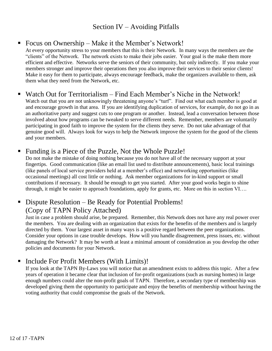#### Section IV – Avoiding Pitfalls

#### ■ Focus on Ownership – Make it the Member's Network!

At every opportunity stress to your members that this is their Network. In many ways the members are the "clients" of the Network. The network exists to make their jobs easier. Your goal is the make them more efficient and effective. Networks serve the seniors of their community, but only indirectly. If you make your members stronger and improve their operations then you also improve their services to their senior clients! Make it easy for them to participate, always encourage feedback, make the organizers available to them, ask them what they need from the Network, etc.

#### Watch Out for Territorialism – Find Each Member's Niche in the Network!

Watch out that you are not unknowingly threatening anyone's "turf". Find out what each member is good at and encourage growth in that area. If you are identifying duplication of services, for example, do not go in as an authoritative party and suggest cuts to one program or another. Instead, lead a conversation between those involved about how programs can be tweaked to serve different needs. Remember, members are voluntarily participating in good faith to improve the system for the clients they serve. Do not take advantage of that genuine good will. Always look for ways to help the Network improve the system for the good of the clients and your members.

#### Funding is a Piece of the Puzzle, Not the Whole Puzzle!

Do not make the mistake of doing nothing because you do not have all of the necessary support at your fingertips. Good communication (like an email list used to distribute announcements), basic local trainings (like panels of local service providers held at a member's office) and networking opportunities (like occasional meetings) all cost little or nothing. Ask member organizations for in-kind support or small contributions if necessary. It should be enough to get you started. After your good works begin to shine through, it might be easier to approach foundations, apply for grants, etc. More on this in section VI….

#### ■ Dispute Resolution – Be Ready for Potential Problems! (Copy of TAPN Policy Attached)

Just in case a problem should arise, be prepared. Remember, this Network does not have any real power over the members. You are dealing with an organization that exists for the benefits of the members and is largely directed by them. Your largest asset in many ways is a positive regard between the peer organizations. Consider your options in case trouble develops. How will you handle disagreement, press issues, etc. without damaging the Network? It may be worth at least a minimal amount of consideration as you develop the other policies and documents for your Network.

#### ■ Include For Profit Members (With Limits)!

If you look at the TAPN By-Laws you will notice that an amendment exists to address this topic. After a few years of operation it became clear that inclusion of for-profit organizations (such as nursing homes) in large enough numbers could alter the non-profit goals of TAPN. Therefore, a secondary type of membership was developed giving them the opportunity to participate and enjoy the benefits of membership without having the voting authority that could compromise the goals of the Network.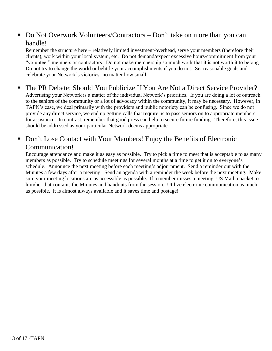#### • Do Not Overwork Volunteers/Contractors – Don't take on more than you can handle!

Remember the structure here – relatively limited investment/overhead, serve your members (therefore their clients), work within your local system, etc. Do not demand/expect excessive hours/commitment from your "volunteer" members or contractors. Do not make membership so much work that it is not worth it to belong. Do not try to change the world or belittle your accomplishments if you do not. Set reasonable goals and celebrate your Network's victories- no matter how small.

 The PR Debate: Should You Publicize If You Are Not a Direct Service Provider? Advertising your Network is a matter of the individual Network's priorities. If you are doing a lot of outreach to the seniors of the community or a lot of advocacy within the community, it may be necessary. However, in TAPN's case, we deal primarily with the providers and public notoriety can be confusing. Since we do not provide any direct service, we end up getting calls that require us to pass seniors on to appropriate members for assistance. In contrast, remember that good press can help to secure future funding. Therefore, this issue should be addressed as your particular Network deems appropriate.

#### • Don't Lose Contact with Your Members! Enjoy the Benefits of Electronic Communication!

Encourage attendance and make it as easy as possible. Try to pick a time to meet that is acceptable to as many members as possible. Try to schedule meetings for several months at a time to get it on to everyone's schedule. Announce the next meeting before each meeting's adjournment. Send a reminder out with the Minutes a few days after a meeting. Send an agenda with a reminder the week before the next meeting. Make sure your meeting locations are as accessible as possible. If a member misses a meeting, US Mail a packet to him/her that contains the Minutes and handouts from the session. Utilize electronic communication as much as possible. It is almost always available and it saves time and postage!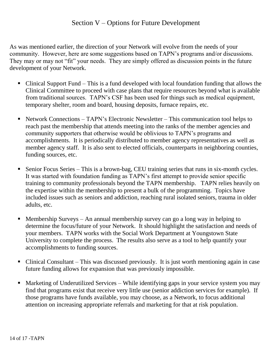#### Section V – Options for Future Development

As was mentioned earlier, the direction of your Network will evolve from the needs of your community. However, here are some suggestions based on TAPN's programs and/or discussions. They may or may not "fit" your needs. They are simply offered as discussion points in the future development of your Network.

- Clinical Support Fund This is a fund developed with local foundation funding that allows the Clinical Committee to proceed with case plans that require resources beyond what is available from traditional sources. TAPN's CSF has been used for things such as medical equipment, temporary shelter, room and board, housing deposits, furnace repairs, etc.
- Network Connections TAPN's Electronic Newsletter This communication tool helps to reach past the membership that attends meeting into the ranks of the member agencies and community supporters that otherwise would be oblivious to TAPN's programs and accomplishments. It is periodically distributed to member agency representatives as well as member agency staff. It is also sent to elected officials, counterparts in neighboring counties, funding sources, etc.
- Senior Focus Series This is a brown-bag, CEU training series that runs in six-month cycles. It was started with foundation funding as TAPN's first attempt to provide senior specific training to community professionals beyond the TAPN membership. TAPN relies heavily on the expertise within the membership to present a bulk of the programming. Topics have included issues such as seniors and addiction, reaching rural isolated seniors, trauma in older adults, etc.
- Membership Surveys An annual membership survey can go a long way in helping to determine the focus/future of your Network. It should highlight the satisfaction and needs of your members. TAPN works with the Social Work Department at Youngstown State University to complete the process. The results also serve as a tool to help quantify your accomplishments to funding sources.
- Clinical Consultant This was discussed previously. It is just worth mentioning again in case future funding allows for expansion that was previously impossible.
- Marketing of Underutilized Services While identifying gaps in your service system you may find that programs exist that receive very little use (senior addiction services for example). If those programs have funds available, you may choose, as a Network, to focus additional attention on increasing appropriate referrals and marketing for that at risk population.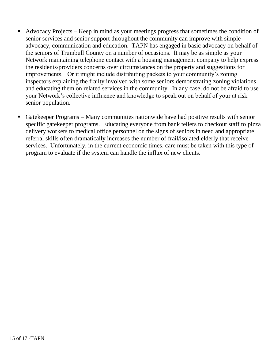- Advocacy Projects Keep in mind as your meetings progress that sometimes the condition of senior services and senior support throughout the community can improve with simple advocacy, communication and education. TAPN has engaged in basic advocacy on behalf of the seniors of Trumbull County on a number of occasions. It may be as simple as your Network maintaining telephone contact with a housing management company to help express the residents/providers concerns over circumstances on the property and suggestions for improvements. Or it might include distributing packets to your community's zoning inspectors explaining the frailty involved with some seniors demonstrating zoning violations and educating them on related services in the community. In any case, do not be afraid to use your Network's collective influence and knowledge to speak out on behalf of your at risk senior population.
- Gatekeeper Programs Many communities nationwide have had positive results with senior specific gatekeeper programs. Educating everyone from bank tellers to checkout staff to pizza delivery workers to medical office personnel on the signs of seniors in need and appropriate referral skills often dramatically increases the number of frail/isolated elderly that receive services. Unfortunately, in the current economic times, care must be taken with this type of program to evaluate if the system can handle the influx of new clients.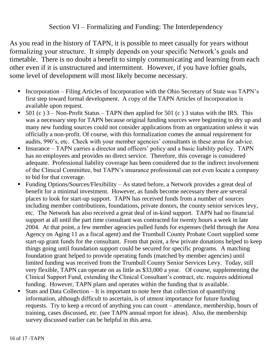#### Section VI – Formalizing and Funding: The Interdependency

As you read in the history of TAPN, it is possible to meet casually for years without formalizing your structure. It simply depends on your specific Network's goals and timetable. There is no doubt a benefit to simply communicating and learning from each other even if it is unstructured and intermittent. However, if you have loftier goals, some level of development will most likely become necessary.

- Incorporation Filing Articles of Incorporation with the Ohio Secretary of State was TAPN's first step toward formal development. A copy of the TAPN Articles of Incorporation is available upon request.
- 501 (c)  $3 -$ Non-Profit Status TAPN then applied for 501 (c) 3 status with the IRS. This was a necessary step for TAPN because original funding sources were beginning to dry up and many new funding sources could not consider applications from an organization unless it was officially a non-profit. Of course, with this formalization comes the annual requirement for audits, 990's, etc. Check with your member agencies' consultants in these areas for advice.
- Insurance TAPN carries a director and officers' policy and a basic liability policy. TAPN has no employees and provides no direct service. Therefore, this coverage is considered adequate. Professional liability coverage has been considered due to the indirect involvement of the Clinical Committee, but TAPN's insurance professional can not even locate a company to bid for that coverage.
- Funding Options/Sources/Flexibility As stated before, a Network provides a great deal of benefit for a minimal investment. However, as funds become necessary there are several places to look for start-up support. TAPN has received funds from a number of sources including member contributions, foundations, private donors, the county senior services levy, etc. The Network has also received a great deal of in-kind support. TAPN had no financial support at all until the part time consultant was contracted for twenty hours a week in late 2004. At that point, a few member agencies pulled funds for expenses (held through the Area Agency on Aging 11 as a fiscal agent) and the Trumbull County Probate Court supplied some start-up grant funds for the consultant. From that point, a few private donations helped to keep things going until foundation support could be secured for specific programs. A matching foundation grant helped to provide operating funds (matched by member agencies) until limited funding was received from the Trumbull County Senior Services Levy. Today, still very flexible, TAPN can operate on as little as \$33,000 a year. Of course, supplementing the Clinical Support Fund, extending the Clinical Consultant's contract, etc. requires additional funding. However, TAPN plans and operates within the funding that is available.
- Stats and Data Collection It is important to note here that collection of quantifying information, although difficult to ascertain, is of utmost importance for future funding requests. Try to keep a record of anything you can count – attendance, membership, hours of training, cases discussed, etc. (see TAPN annual report for ideas). Also, the membership survey discussed earlier can be helpful in this area.